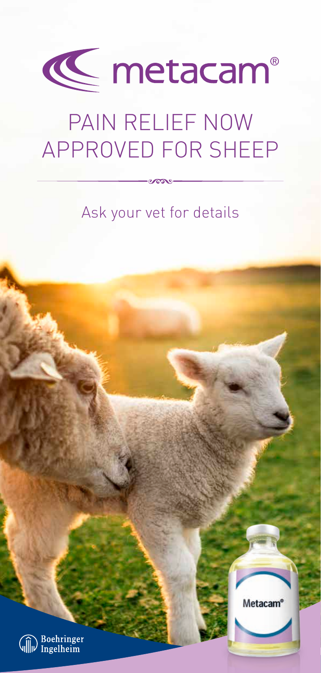

# PAIN RELIEF NOW APPROVED FOR SHEEP

## Ask your vet for details

Metacam®

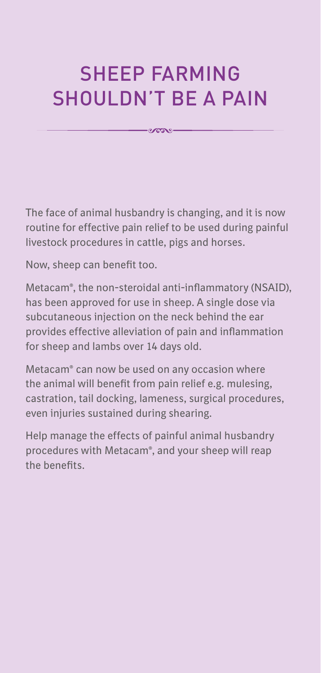## SHEEP FARMING SHOULDN'T BE A PAIN

 $-2000 -$ 

The face of animal husbandry is changing, and it is now routine for effective pain relief to be used during painful livestock procedures in cattle, pigs and horses.

Now, sheep can benefit too.

Metacam®, the non-steroidal anti-inflammatory (NSAID), has been approved for use in sheep. A single dose via subcutaneous injection on the neck behind the ear provides effective alleviation of pain and inflammation for sheep and lambs over 14 days old.

Metacam® can now be used on any occasion where the animal will benefit from pain relief e.g. mulesing, castration, tail docking, lameness, surgical procedures, even injuries sustained during shearing.

Help manage the effects of painful animal husbandry procedures with Metacam®, and your sheep will reap the benefits.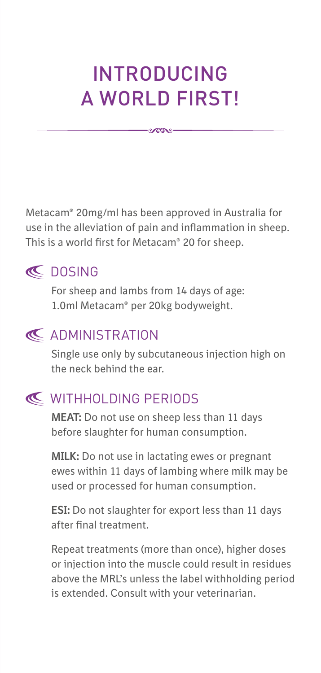## INTRODUCING A WORLD FIRST!

 $-0.0009$ 

Metacam® 20mg/ml has been approved in Australia for use in the alleviation of pain and inflammation in sheep. This is a world first for Metacam® 20 for sheep.



#### **IC** DOSING

 For sheep and lambs from 14 days of age: 1.0ml Metacam® per 20kg bodyweight.

### **ADMINISTRATION**

 Single use only by subcutaneous injection high on the neck behind the ear.

### **K** WITHHOLDING PERIODS

 **MEAT:** Do not use on sheep less than 11 days before slaughter for human consumption.

 **MILK:** Do not use in lactating ewes or pregnant ewes within 11 days of lambing where milk may be used or processed for human consumption.

 **ESI:** Do not slaughter for export less than 11 days after final treatment.

 Repeat treatments (more than once), higher doses or injection into the muscle could result in residues above the MRL's unless the label withholding period is extended. Consult with your veterinarian.